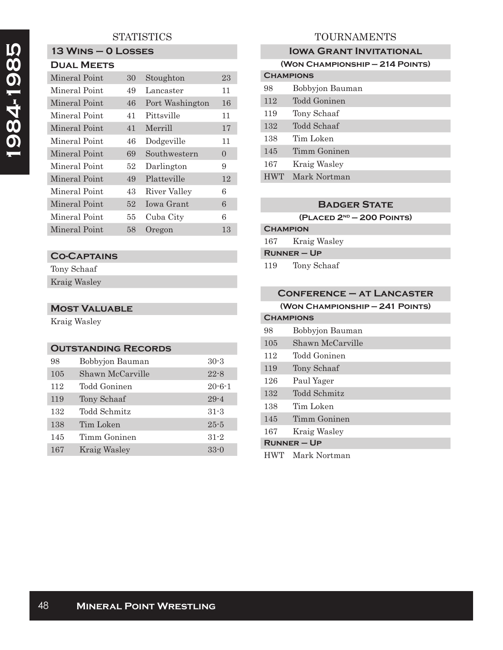# **1984-1985**  1984-1985

# **STATISTICS**

# **13 Wins – 0 Losses**

|--|

| Mineral Point | 30 | Stoughton       | 23 |
|---------------|----|-----------------|----|
| Mineral Point | 49 | Lancaster       | 11 |
| Mineral Point | 46 | Port Washington | 16 |
| Mineral Point | 41 | Pittsville      | 11 |
| Mineral Point | 41 | Merrill         | 17 |
| Mineral Point | 46 | Dodgeville      | 11 |
| Mineral Point | 69 | Southwestern    | 0  |
| Mineral Point | 52 | Darlington      | 9  |
| Mineral Point | 49 | Platteville     | 12 |
| Mineral Point | 43 | River Valley    | 6  |
| Mineral Point | 52 | Iowa Grant      | 6  |
| Mineral Point | 55 | Cuba City       | 6  |
| Mineral Point | 58 | Oregon          | 13 |

### **Co-Captains**

Tony Schaaf Kraig Wasley

### **Most Valuable**

Kraig Wasley

| <b>OUTSTANDING RECORDS</b> |                  |              |
|----------------------------|------------------|--------------|
| 98                         | Bobbyjon Bauman  | $30-3$       |
| 105                        | Shawn McCarville | $22 - 8$     |
| 112                        | Todd Goninen     | $20 - 6 - 1$ |
| 119                        | Tony Schaaf      | $29 - 4$     |
| 132                        | Todd Schmitz     | $31 - 3$     |
| 138                        | Tim Loken        | $25 - 5$     |
| 145                        | Timm Goninen     | $31 - 2$     |
| 167                        | Kraig Wasley     | $33 - 0$     |

# TOURNAMENTS

|                                 | <b>IOWA GRANT INVITATIONAL</b> |  |
|---------------------------------|--------------------------------|--|
| (WON CHAMPIONSHIP - 214 POINTS) |                                |  |
| <b>CHAMPIONS</b>                |                                |  |
| 98                              | Bobbyjon Bauman                |  |
| 112                             | Todd Goninen                   |  |
| 119                             | Tony Schaaf                    |  |
| 132                             | Todd Schaaf                    |  |
| 138                             | Tim Loken                      |  |
| 145                             | Timm Goninen                   |  |
| 167                             | Kraig Wasley                   |  |
| <b>HWT</b>                      | Mark Nortman                   |  |
|                                 |                                |  |

### **Badger State**

**(Placed 2nd — 200 Points)**

# **Champion** 167 Kraig Wasley

**Runner – Up**

119 Tony Schaaf

| <b>CONFERENCE - AT LANCASTER</b> |                  |
|----------------------------------|------------------|
| (WON CHAMPIONSHIP - 241 POINTS)  |                  |
| <b>CHAMPIONS</b>                 |                  |
| 98                               | Bobbyjon Bauman  |
| 105                              | Shawn McCarville |
| 112                              | Todd Goninen     |
| 119                              | Tony Schaaf      |
| 126                              | Paul Yager       |
| 132                              | Todd Schmitz     |
| 138                              | Tim Loken        |
| 145                              | Timm Goninen     |
| 167                              | Kraig Wasley     |
| <b>RUNNER-UP</b>                 |                  |
| <b>HWT</b>                       | Mark Nortman     |